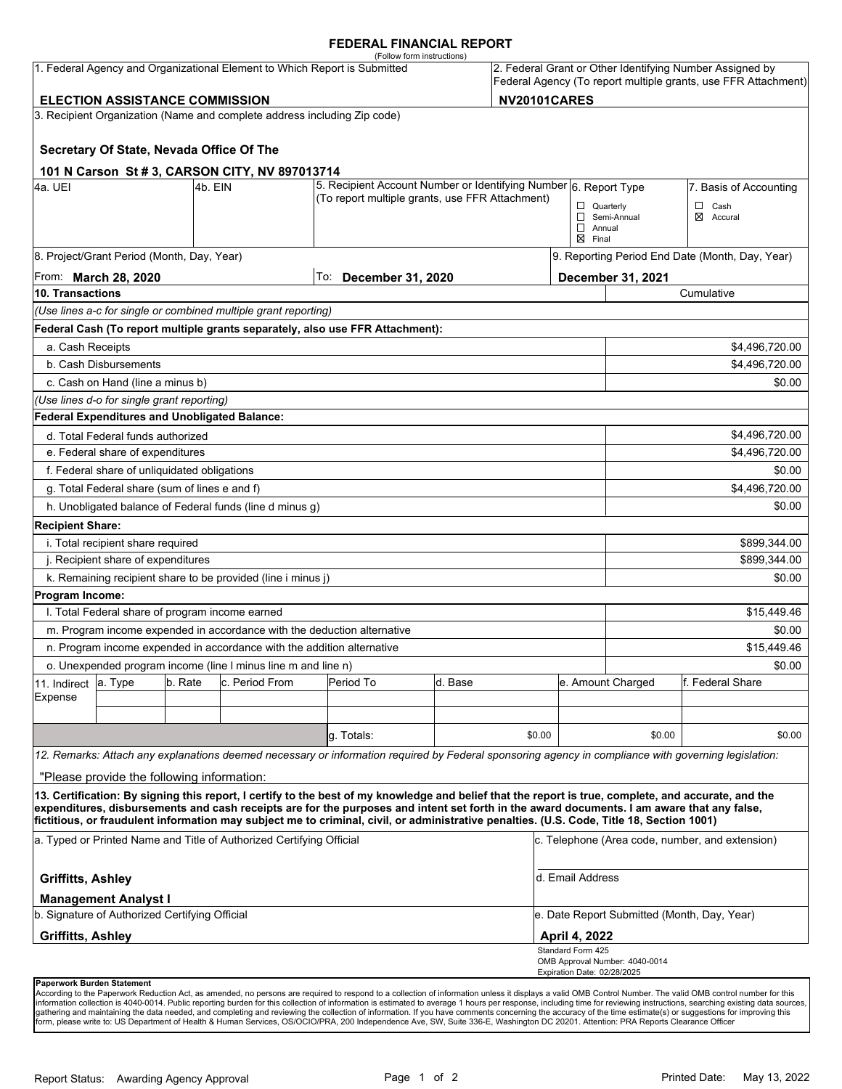#### **FEDERAL FINANCIAL REPORT**

|                                                                           |                                                                                                                                 |  |                                                                          | (Follow form instructions)                                                                                                                           |         |                                    |                                                                                                                            |                                |                                                 |  |
|---------------------------------------------------------------------------|---------------------------------------------------------------------------------------------------------------------------------|--|--------------------------------------------------------------------------|------------------------------------------------------------------------------------------------------------------------------------------------------|---------|------------------------------------|----------------------------------------------------------------------------------------------------------------------------|--------------------------------|-------------------------------------------------|--|
| 1. Federal Agency and Organizational Element to Which Report is Submitted |                                                                                                                                 |  |                                                                          |                                                                                                                                                      |         |                                    | 2. Federal Grant or Other Identifying Number Assigned by<br>Federal Agency (To report multiple grants, use FFR Attachment) |                                |                                                 |  |
| NV20101CARES<br><b>ELECTION ASSISTANCE COMMISSION</b>                     |                                                                                                                                 |  |                                                                          |                                                                                                                                                      |         |                                    |                                                                                                                            |                                |                                                 |  |
|                                                                           |                                                                                                                                 |  | 3. Recipient Organization (Name and complete address including Zip code) |                                                                                                                                                      |         |                                    |                                                                                                                            |                                |                                                 |  |
|                                                                           |                                                                                                                                 |  |                                                                          |                                                                                                                                                      |         |                                    |                                                                                                                            |                                |                                                 |  |
|                                                                           | Secretary Of State, Nevada Office Of The                                                                                        |  |                                                                          |                                                                                                                                                      |         |                                    |                                                                                                                            |                                |                                                 |  |
|                                                                           |                                                                                                                                 |  | 101 N Carson St # 3, CARSON CITY, NV 897013714                           |                                                                                                                                                      |         |                                    |                                                                                                                            |                                |                                                 |  |
| 4a. UEI                                                                   | 5. Recipient Account Number or Identifying Number 6. Report Type<br>l4b. EIN<br>(To report multiple grants, use FFR Attachment) |  |                                                                          |                                                                                                                                                      |         |                                    | 7. Basis of Accounting                                                                                                     |                                |                                                 |  |
|                                                                           |                                                                                                                                 |  |                                                                          |                                                                                                                                                      |         |                                    | $\Box$ Quarterly                                                                                                           | Semi-Annual                    | $\Box$ Cash<br>⊠ Accural                        |  |
|                                                                           |                                                                                                                                 |  |                                                                          |                                                                                                                                                      |         | $\Box$ Annual<br>$\boxtimes$ Final |                                                                                                                            |                                |                                                 |  |
| 8. Project/Grant Period (Month, Day, Year)                                |                                                                                                                                 |  |                                                                          |                                                                                                                                                      |         |                                    |                                                                                                                            |                                | 9. Reporting Period End Date (Month, Day, Year) |  |
| From: March 28, 2020                                                      |                                                                                                                                 |  |                                                                          | To:<br><b>December 31, 2020</b>                                                                                                                      |         |                                    | December 31, 2021                                                                                                          |                                |                                                 |  |
| 10. Transactions                                                          |                                                                                                                                 |  |                                                                          |                                                                                                                                                      |         |                                    |                                                                                                                            | Cumulative                     |                                                 |  |
|                                                                           |                                                                                                                                 |  | (Use lines a-c for single or combined multiple grant reporting)          |                                                                                                                                                      |         |                                    |                                                                                                                            |                                |                                                 |  |
|                                                                           |                                                                                                                                 |  |                                                                          | Federal Cash (To report multiple grants separately, also use FFR Attachment):                                                                        |         |                                    |                                                                                                                            |                                |                                                 |  |
| a. Cash Receipts                                                          |                                                                                                                                 |  |                                                                          |                                                                                                                                                      |         |                                    |                                                                                                                            |                                | \$4,496,720.00                                  |  |
|                                                                           | b. Cash Disbursements                                                                                                           |  |                                                                          |                                                                                                                                                      |         |                                    |                                                                                                                            |                                | \$4,496,720.00                                  |  |
|                                                                           | c. Cash on Hand (line a minus b)                                                                                                |  |                                                                          |                                                                                                                                                      |         |                                    |                                                                                                                            |                                | \$0.00                                          |  |
|                                                                           | (Use lines d-o for single grant reporting)                                                                                      |  |                                                                          |                                                                                                                                                      |         |                                    |                                                                                                                            |                                |                                                 |  |
|                                                                           | <b>Federal Expenditures and Unobligated Balance:</b>                                                                            |  |                                                                          |                                                                                                                                                      |         |                                    |                                                                                                                            |                                |                                                 |  |
|                                                                           | d. Total Federal funds authorized                                                                                               |  |                                                                          |                                                                                                                                                      |         |                                    |                                                                                                                            |                                | \$4,496,720.00                                  |  |
| e. Federal share of expenditures                                          |                                                                                                                                 |  |                                                                          |                                                                                                                                                      |         |                                    |                                                                                                                            |                                | \$4,496,720.00                                  |  |
| f. Federal share of unliquidated obligations                              |                                                                                                                                 |  |                                                                          |                                                                                                                                                      |         |                                    |                                                                                                                            | \$0.00                         |                                                 |  |
| g. Total Federal share (sum of lines e and f)                             |                                                                                                                                 |  |                                                                          |                                                                                                                                                      |         |                                    |                                                                                                                            |                                | \$4,496,720.00                                  |  |
|                                                                           |                                                                                                                                 |  | h. Unobligated balance of Federal funds (line d minus g)                 |                                                                                                                                                      |         |                                    |                                                                                                                            |                                | \$0.00                                          |  |
| <b>Recipient Share:</b>                                                   |                                                                                                                                 |  |                                                                          |                                                                                                                                                      |         |                                    |                                                                                                                            |                                |                                                 |  |
|                                                                           | i. Total recipient share required                                                                                               |  |                                                                          |                                                                                                                                                      |         |                                    |                                                                                                                            |                                | \$899,344.00                                    |  |
| j. Recipient share of expenditures                                        |                                                                                                                                 |  |                                                                          |                                                                                                                                                      |         |                                    |                                                                                                                            | \$899,344.00                   |                                                 |  |
|                                                                           |                                                                                                                                 |  | k. Remaining recipient share to be provided (line i minus j)             |                                                                                                                                                      |         |                                    |                                                                                                                            |                                | \$0.00                                          |  |
| Program Income:                                                           |                                                                                                                                 |  |                                                                          |                                                                                                                                                      |         |                                    |                                                                                                                            |                                |                                                 |  |
|                                                                           | I. Total Federal share of program income earned                                                                                 |  |                                                                          |                                                                                                                                                      |         |                                    |                                                                                                                            |                                | \$15,449.46                                     |  |
|                                                                           |                                                                                                                                 |  |                                                                          | m. Program income expended in accordance with the deduction alternative                                                                              |         |                                    |                                                                                                                            | \$0.00                         |                                                 |  |
|                                                                           |                                                                                                                                 |  | n. Program income expended in accordance with the addition alternative   |                                                                                                                                                      |         |                                    |                                                                                                                            | \$15,449.46                    |                                                 |  |
|                                                                           |                                                                                                                                 |  | o. Unexpended program income (line I minus line m and line n)            |                                                                                                                                                      |         |                                    |                                                                                                                            |                                | \$0.00                                          |  |
| b. Rate<br>c. Period From<br>a. Type<br>11. Indirect                      |                                                                                                                                 |  |                                                                          | Period To                                                                                                                                            | d. Base |                                    |                                                                                                                            | e. Amount Charged              | lf. Federal Share                               |  |
| Expense                                                                   |                                                                                                                                 |  |                                                                          |                                                                                                                                                      |         |                                    |                                                                                                                            |                                |                                                 |  |
|                                                                           |                                                                                                                                 |  |                                                                          |                                                                                                                                                      |         |                                    |                                                                                                                            |                                |                                                 |  |
|                                                                           |                                                                                                                                 |  |                                                                          | g. Totals:                                                                                                                                           |         | \$0.00                             |                                                                                                                            | \$0.00                         | \$0.00                                          |  |
|                                                                           |                                                                                                                                 |  |                                                                          | 12. Remarks: Attach any explanations deemed necessary or information required by Federal sponsoring agency in compliance with governing legislation: |         |                                    |                                                                                                                            |                                |                                                 |  |
|                                                                           | "Please provide the following information:                                                                                      |  |                                                                          |                                                                                                                                                      |         |                                    |                                                                                                                            |                                |                                                 |  |
|                                                                           |                                                                                                                                 |  |                                                                          | 13. Certification: By signing this report, I certify to the best of my knowledge and belief that the report is true, complete, and accurate, and the |         |                                    |                                                                                                                            |                                |                                                 |  |
|                                                                           |                                                                                                                                 |  |                                                                          | expenditures, disbursements and cash receipts are for the purposes and intent set forth in the award documents. I am aware that any false,           |         |                                    |                                                                                                                            |                                |                                                 |  |
|                                                                           |                                                                                                                                 |  |                                                                          | fictitious, or fraudulent information may subject me to criminal, civil, or administrative penalties. (U.S. Code, Title 18, Section 1001)            |         |                                    |                                                                                                                            |                                |                                                 |  |
| a. Typed or Printed Name and Title of Authorized Certifying Official      |                                                                                                                                 |  |                                                                          |                                                                                                                                                      |         |                                    | c. Telephone (Area code, number, and extension)                                                                            |                                |                                                 |  |
| <b>Griffitts, Ashley</b>                                                  |                                                                                                                                 |  |                                                                          |                                                                                                                                                      |         |                                    | d. Email Address                                                                                                           |                                |                                                 |  |
|                                                                           | <b>Management Analyst I</b>                                                                                                     |  |                                                                          |                                                                                                                                                      |         |                                    |                                                                                                                            |                                |                                                 |  |
|                                                                           | b. Signature of Authorized Certifying Official                                                                                  |  |                                                                          |                                                                                                                                                      |         |                                    | e. Date Report Submitted (Month, Day, Year)                                                                                |                                |                                                 |  |
| <b>Griffitts, Ashley</b>                                                  |                                                                                                                                 |  |                                                                          |                                                                                                                                                      |         |                                    | April 4, 2022                                                                                                              |                                |                                                 |  |
|                                                                           |                                                                                                                                 |  |                                                                          |                                                                                                                                                      |         |                                    | Standard Form 425                                                                                                          | OMB Approval Number: 4040-0014 |                                                 |  |
|                                                                           |                                                                                                                                 |  |                                                                          |                                                                                                                                                      |         |                                    | Expiration Date: 02/28/2025                                                                                                |                                |                                                 |  |
| Paperwork Burden Statement                                                |                                                                                                                                 |  |                                                                          |                                                                                                                                                      |         |                                    |                                                                                                                            |                                |                                                 |  |

According to the Paperwork Reduction Act, as amended, no persons are required to respond to a collection of information unless it displays a valid OMB Control Number. The valid OMB control number for this<br>information colle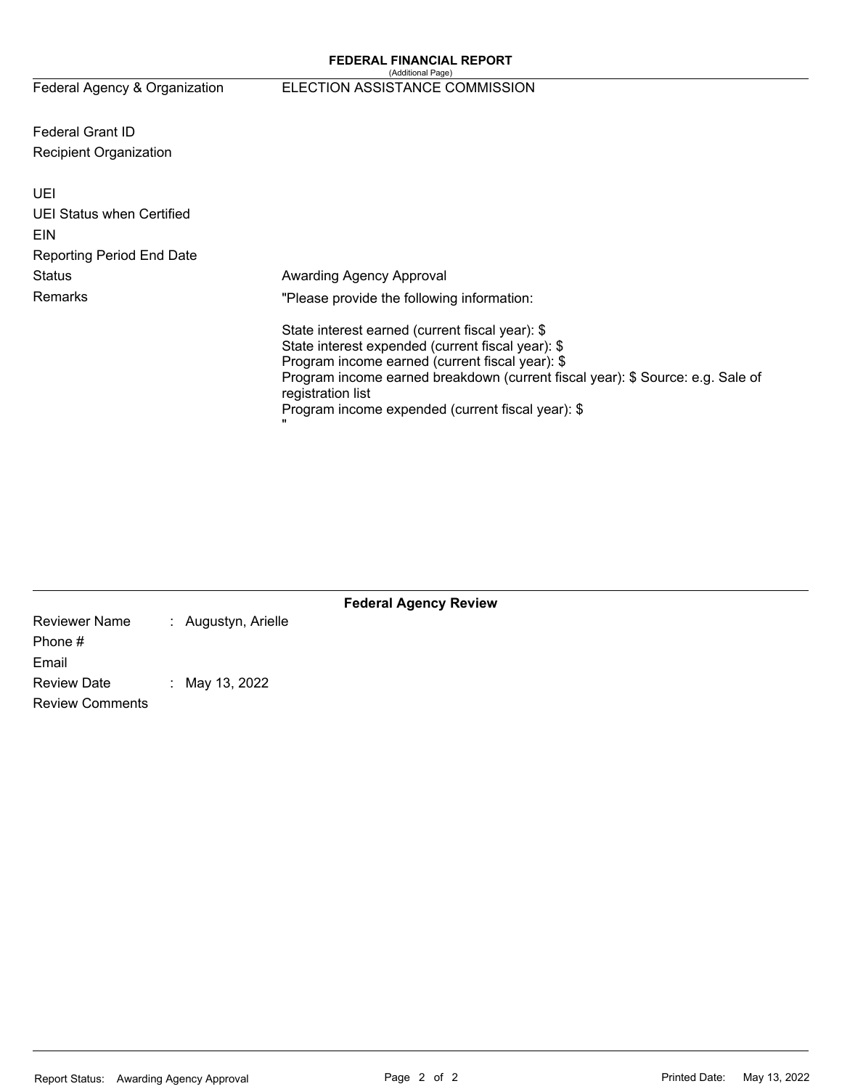#### (Additional Page) Federal Agency & Organization ELECTION ASSISTANCE COMMISSION

Federal Grant ID Recipient Organization

| UEI                       |                                                                                                                                                                                                                                                                                                                          |
|---------------------------|--------------------------------------------------------------------------------------------------------------------------------------------------------------------------------------------------------------------------------------------------------------------------------------------------------------------------|
| UEI Status when Certified |                                                                                                                                                                                                                                                                                                                          |
| EIN                       |                                                                                                                                                                                                                                                                                                                          |
| Reporting Period End Date |                                                                                                                                                                                                                                                                                                                          |
| Status                    | Awarding Agency Approval                                                                                                                                                                                                                                                                                                 |
| <b>Remarks</b>            | "Please provide the following information:                                                                                                                                                                                                                                                                               |
|                           | State interest earned (current fiscal year): \$<br>State interest expended (current fiscal year): \$<br>Program income earned (current fiscal year): \$<br>Program income earned breakdown (current fiscal year): \$ Source: e.g. Sale of<br>registration list<br>Program income expended (current fiscal year): \$<br>" |

| <b>Federal Agency Review</b> |                         |  |  |  |  |  |  |
|------------------------------|-------------------------|--|--|--|--|--|--|
| <b>Reviewer Name</b>         | Augustyn, Arielle<br>÷. |  |  |  |  |  |  |
| Phone #                      |                         |  |  |  |  |  |  |
| Email                        |                         |  |  |  |  |  |  |
| <b>Review Date</b>           | : May 13, 2022          |  |  |  |  |  |  |
| <b>Review Comments</b>       |                         |  |  |  |  |  |  |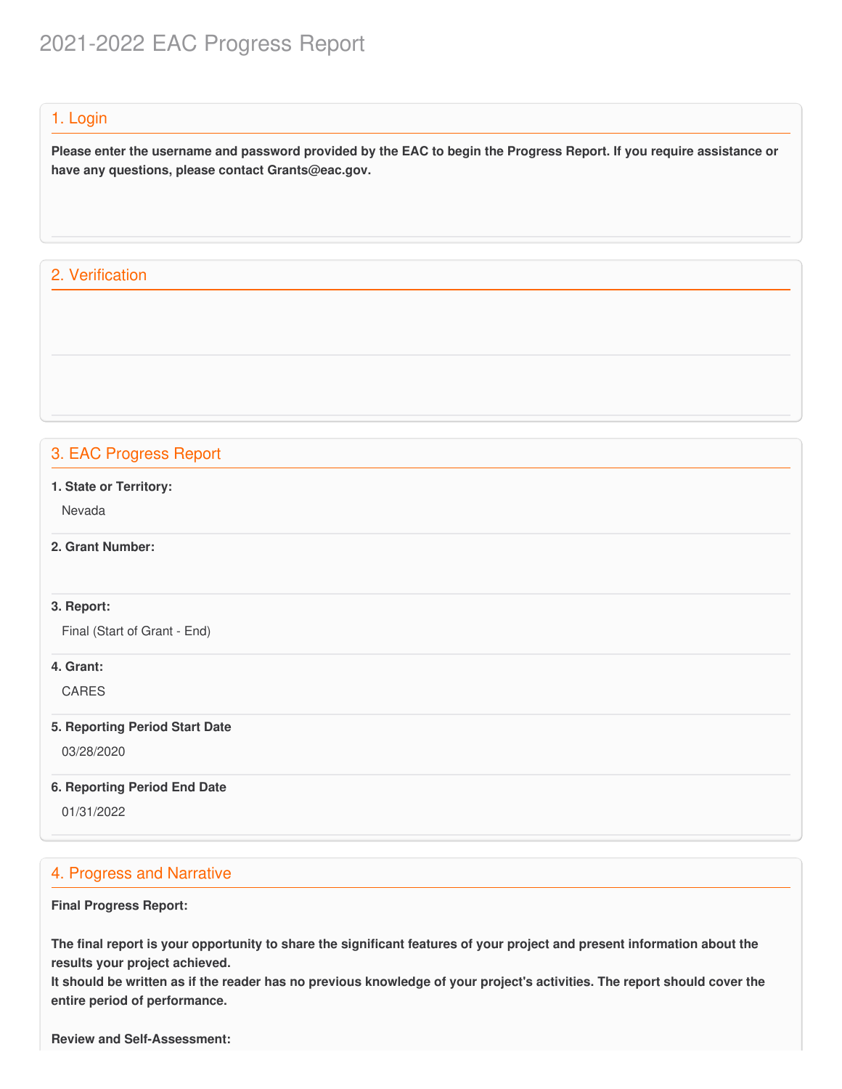# 2021-2022 EAC Progress Report

# 1. Login

Please enter the username and password provided by the EAC to begin the Progress Report. If you require assistance or  **have any questions, please contact [Grants@eac.gov](mailto:Grants@eac.gov).**

# 2. Verification

# 3. EAC Progress Report

 **1. State or Territory:**

Nevada

# **2. Grant Number:**

#### **3. Report:**

Final (Start of Grant - End)

### **4. Grant:**

CARES

#### **5. Reporting Period Start Date**

03/28/2020

#### **6. Reporting Period End Date**

01/31/2022

# 4. Progress and Narrative

#### **Final Progress Report:**

The final report is your opportunity to share the significant features of your project and present information about the  **results your project achieved.**

It should be written as if the reader has no previous knowledge of your project's activities. The report should cover the  **entire period of performance.**

 **Review and Self-Assessment:**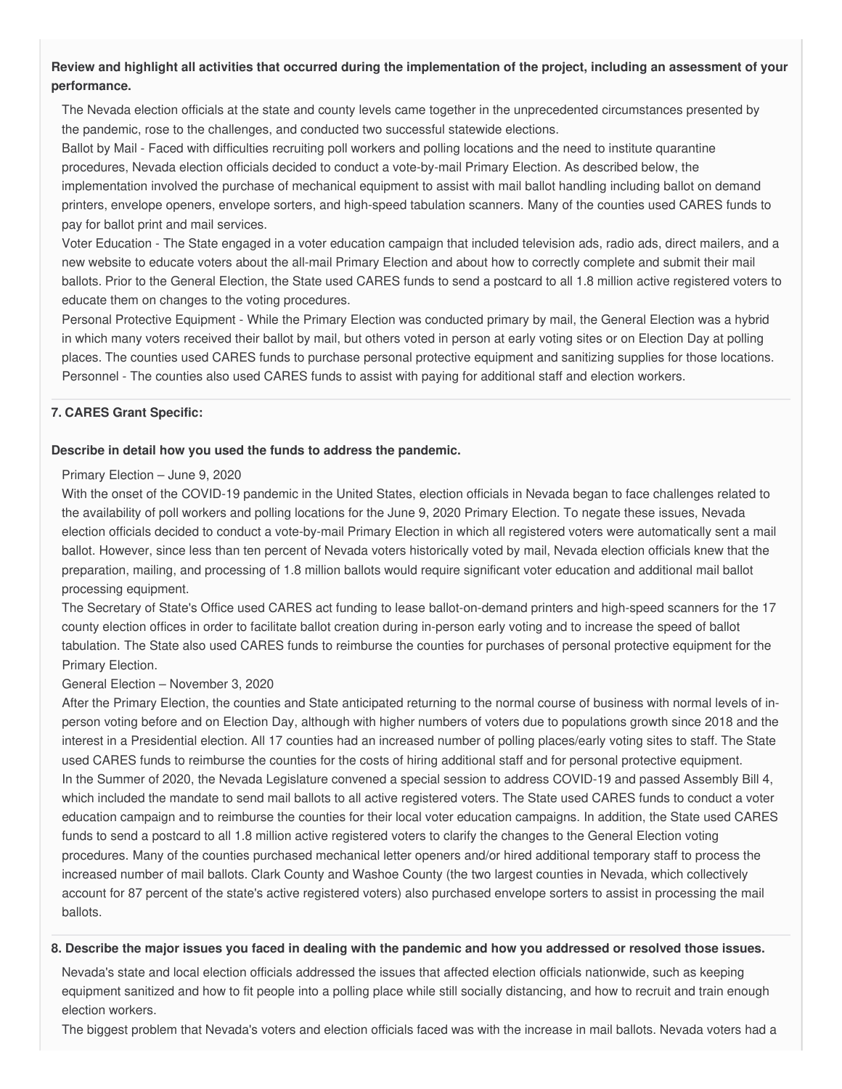### Review and highlight all activities that occurred during the implementation of the project, including an assessment of your **performance.**

 The Nevada election officials at the state and county levels came together in the unprecedented circumstances presented by the pandemic, rose to the challenges, and conducted two successful statewide elections.

 Ballot by Mail - Faced with difficulties recruiting poll workers and polling locations and the need to institute quarantine procedures, Nevada election officials decided to conduct a vote-by-mail Primary Election. As described below, the implementation involved the purchase of mechanical equipment to assist with mail ballot handling including ballot on demand printers, envelope openers, envelope sorters, and high-speed tabulation scanners. Many of the counties used CARES funds to pay for ballot print and mail services.

 Voter Education - The State engaged in a voter education campaign that included television ads, radio ads, direct mailers, and a new website to educate voters about the all-mail Primary Election and about how to correctly complete and submit their mail ballots. Prior to the General Election, the State used CARES funds to send a postcard to all 1.8 million active registered voters to educate them on changes to the voting procedures.

 Personal Protective Equipment - While the Primary Election was conducted primary by mail, the General Election was a hybrid in which many voters received their ballot by mail, but others voted in person at early voting sites or on Election Day at polling places. The counties used CARES funds to purchase personal protective equipment and sanitizing supplies for those locations. Personnel - The counties also used CARES funds to assist with paying for additional staff and election workers.

### **7. CARES Grant Specific:**

#### **Describe in detail how you used the funds to address the pandemic.**

#### Primary Election – June 9, 2020

 With the onset of the COVID-19 pandemic in the United States, election officials in Nevada began to face challenges related to the availability of poll workers and polling locations for the June 9, 2020 Primary Election. To negate these issues, Nevada election officials decided to conduct a vote-by-mail Primary Election in which all registered voters were automatically sent a mail ballot. However, since less than ten percent of Nevada voters historically voted by mail, Nevada election officials knew that the preparation, mailing, and processing of 1.8 million ballots would require significant voter education and additional mail ballot processing equipment.

 The Secretary of State's Office used CARES act funding to lease ballot-on-demand printers and high-speed scanners for the 17 county election offices in order to facilitate ballot creation during in-person early voting and to increase the speed of ballot tabulation. The State also used CARES funds to reimburse the counties for purchases of personal protective equipment for the Primary Election.

#### General Election – November 3, 2020

 After the Primary Election, the counties and State anticipated returning to the normal course of business with normal levels of in- person voting before and on Election Day, although with higher numbers of voters due to populations growth since 2018 and the interest in a Presidential election. All 17 counties had an increased number of polling places/early voting sites to staff. The State used CARES funds to reimburse the counties for the costs of hiring additional staff and for personal protective equipment. In the Summer of 2020, the Nevada Legislature convened a special session to address COVID-19 and passed Assembly Bill 4, which included the mandate to send mail ballots to all active registered voters. The State used CARES funds to conduct a voter education campaign and to reimburse the counties for their local voter education campaigns. In addition, the State used CARES funds to send a postcard to all 1.8 million active registered voters to clarify the changes to the General Election voting procedures. Many of the counties purchased mechanical letter openers and/or hired additional temporary staff to process the increased number of mail ballots. Clark County and Washoe County (the two largest counties in Nevada, which collectively account for 87 percent of the state's active registered voters) also purchased envelope sorters to assist in processing the mail ballots.

#### 8. Describe the major issues you faced in dealing with the pandemic and how you addressed or resolved those issues.

 Nevada's state and local election officials addressed the issues that affected election officials nationwide, such as keeping equipment sanitized and how to fit people into a polling place while still socially distancing, and how to recruit and train enough election workers.

The biggest problem that Nevada's voters and election officials faced was with the increase in mail ballots. Nevada voters had a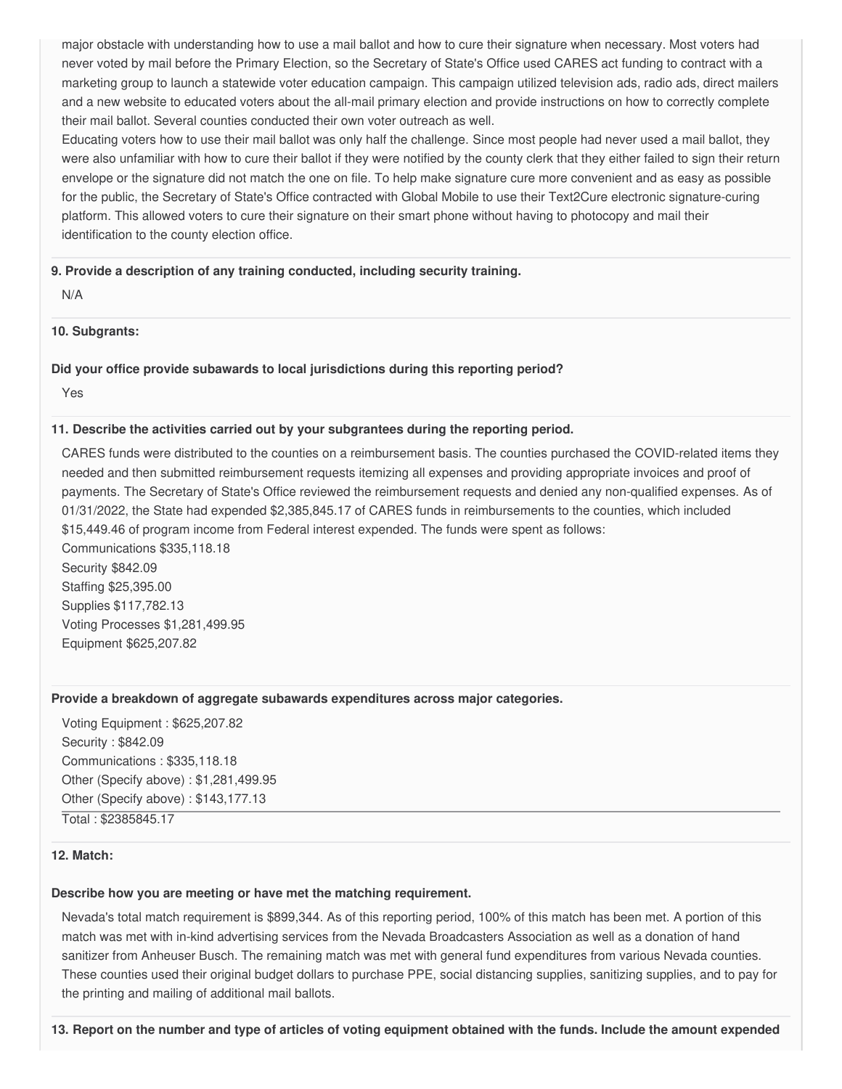major obstacle with understanding how to use a mail ballot and how to cure their signature when necessary. Most voters had never voted by mail before the Primary Election, so the Secretary of State's Office used CARES act funding to contract with a marketing group to launch a statewide voter education campaign. This campaign utilized television ads, radio ads, direct mailers and a new website to educated voters about the all-mail primary election and provide instructions on how to correctly complete their mail ballot. Several counties conducted their own voter outreach as well.

 Educating voters how to use their mail ballot was only half the challenge. Since most people had never used a mail ballot, they were also unfamiliar with how to cure their ballot if they were notified by the county clerk that they either failed to sign their return envelope or the signature did not match the one on file. To help make signature cure more convenient and as easy as possible for the public, the Secretary of State's Office contracted with Global Mobile to use their Text2Cure electronic signature-curing platform. This allowed voters to cure their signature on their smart phone without having to photocopy and mail their identification to the county election office.

#### **9. Provide a description of any training conducted, including security training.**

N/A

#### **10. Subgrants:**

#### **Did your office provide subawards to local jurisdictions during this reporting period?**

Yes

#### **11. Describe the activities carried out by your subgrantees during the reporting period.**

 CARES funds were distributed to the counties on a reimbursement basis. The counties purchased the COVID-related items they needed and then submitted reimbursement requests itemizing all expenses and providing appropriate invoices and proof of payments. The Secretary of State's Office reviewed the reimbursement requests and denied any non-qualified expenses. As of 01/31/2022, the State had expended \$[2,385,845.17](https://2,385,845.17) of CARES funds in reimbursements to the counties, which included [\\$15,449.46](https://15,449.46) of program income from Federal interest expended. The funds were spent as follows: Communications [\\$335,118.18](https://335,118.18) Security \$842.09 Staffing \$[25,395.00](https://25,395.00)

 Voting Processes [\\$1,281,499.95](https://1,281,499.95) Supplies \$[117,782.13](https://117,782.13) Equipment \$[625,207.82](https://625,207.82)

#### **Provide a breakdown of aggregate subawards expenditures across major categories.**

 Voting Equipment : [\\$625,207.82](https://625,207.82) Security : \$842.09 Communications : [\\$335,118.18](https://335,118.18) Other (Specify above) : [\\$1,281,499.95](https://1,281,499.95) Other (Specify above) : [\\$143,177.13](https://143,177.13) Total : [\\$2385845.17](https://2385845.17)

#### **12. Match:**

#### **Describe how you are meeting or have met the matching requirement.**

 Nevada's total match requirement is \$899,344. As of this reporting period, 100% of this match has been met. A portion of this match was met with in-kind advertising services from the Nevada Broadcasters Association as well as a donation of hand sanitizer from Anheuser Busch. The remaining match was met with general fund expenditures from various Nevada counties. These counties used their original budget dollars to purchase PPE, social distancing supplies, sanitizing supplies, and to pay for the printing and mailing of additional mail ballots.

13. Report on the number and type of articles of voting equipment obtained with the funds. Include the amount expended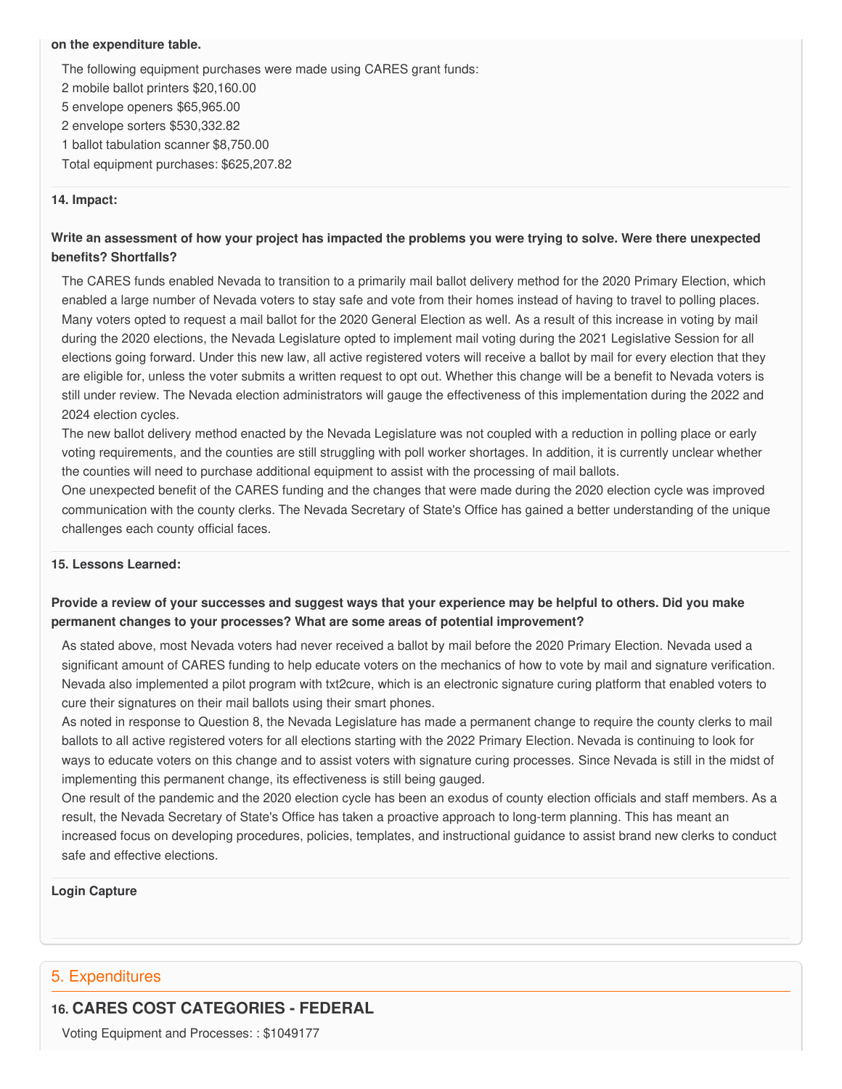#### **on the expenditure table.**

 The following equipment purchases were made using CARES grant funds: 2 mobile ballot printers [\\$20,160.00](https://20,160.00) 5 envelope openers \$[65,965.00](https://65,965.00) 2 envelope sorters [\\$530,332.82](https://530,332.82) 1 ballot tabulation scanner \$[8,750.00](https://8,750.00) Total equipment purchases: [\\$625,207.82](https://625,207.82)

#### **14. Impact:**

### Write an assessment of how your project has impacted the problems you were trying to solve. Were there unexpected **benefits? Shortfalls?**

 The CARES funds enabled Nevada to transition to a primarily mail ballot delivery method for the 2020 Primary Election, which enabled a large number of Nevada voters to stay safe and vote from their homes instead of having to travel to polling places. Many voters opted to request a mail ballot for the 2020 General Election as well. As a result of this increase in voting by mail during the 2020 elections, the Nevada Legislature opted to implement mail voting during the 2021 Legislative Session for all elections going forward. Under this new law, all active registered voters will receive a ballot by mail for every election that they are eligible for, unless the voter submits a written request to opt out. Whether this change will be a benefit to Nevada voters is still under review. The Nevada election administrators will gauge the effectiveness of this implementation during the 2022 and 2024 election cycles.

 The new ballot delivery method enacted by the Nevada Legislature was not coupled with a reduction in polling place or early voting requirements, and the counties are still struggling with poll worker shortages. In addition, it is currently unclear whether the counties will need to purchase additional equipment to assist with the processing of mail ballots.

 One unexpected benefit of the CARES funding and the changes that were made during the 2020 election cycle was improved communication with the county clerks. The Nevada Secretary of State's Office has gained a better understanding of the unique challenges each county official faces.

#### **15. Lessons Learned:**

### Provide a review of your successes and suggest ways that your experience may be helpful to others. Did you make  **permanent changes to your processes? What are some areas of potential improvement?**

 As stated above, most Nevada voters had never received a ballot by mail before the 2020 Primary Election. Nevada used a significant amount of CARES funding to help educate voters on the mechanics of how to vote by mail and signature verification. Nevada also implemented a pilot program with txt2cure, which is an electronic signature curing platform that enabled voters to cure their signatures on their mail ballots using their smart phones.

 As noted in response to Question 8, the Nevada Legislature has made a permanent change to require the county clerks to mail ballots to all active registered voters for all elections starting with the 2022 Primary Election. Nevada is continuing to look for ways to educate voters on this change and to assist voters with signature curing processes. Since Nevada is still in the midst of implementing this permanent change, its effectiveness is still being gauged.

 One result of the pandemic and the 2020 election cycle has been an exodus of county election officials and staff members. As a result, the Nevada Secretary of State's Office has taken a proactive approach to long-term planning. This has meant an increased focus on developing procedures, policies, templates, and instructional guidance to assist brand new clerks to conduct safe and effective elections.

#### **Login Capture**

# 5. Expenditures

# **16. CARES COST CATEGORIES - FEDERAL**

Voting Equipment and Processes: : \$1049177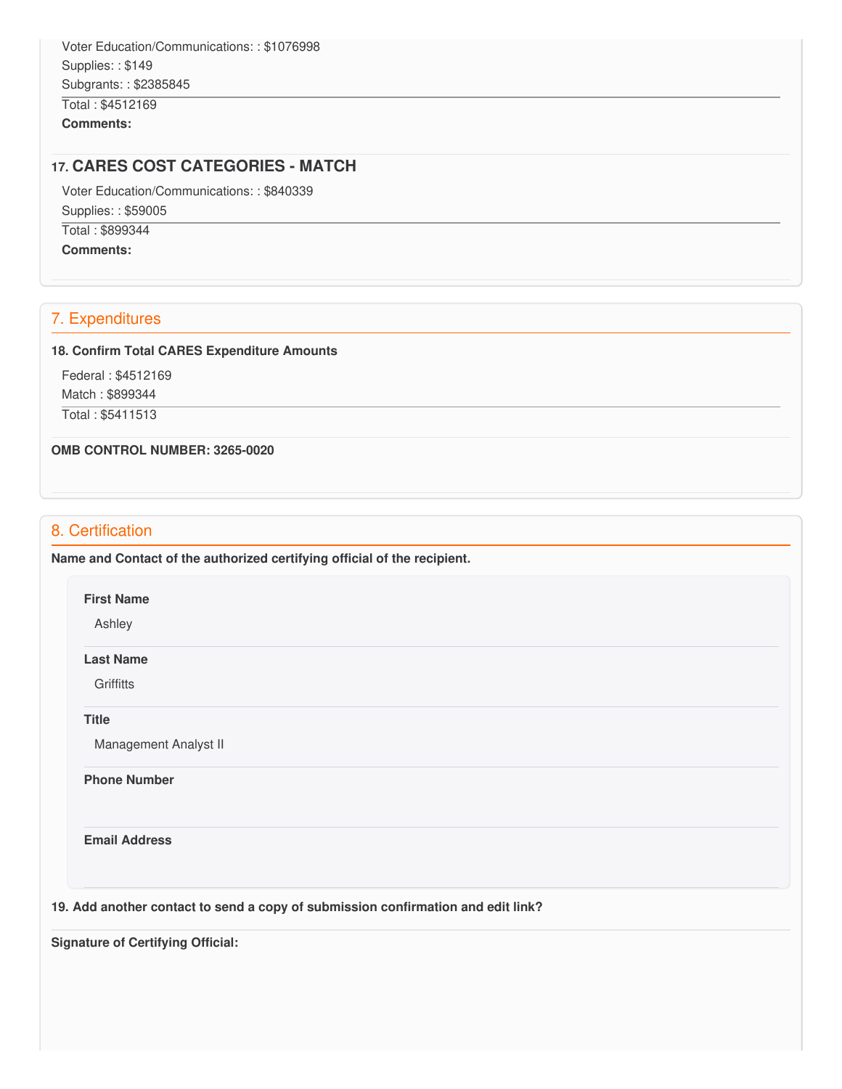Voter Education/Communications: : \$1076998 Supplies: : \$149 Subgrants: : \$2385845 Total : \$4512169 **Comments:**

# **17. CARES COST CATEGORIES - MATCH**

 Voter Education/Communications: : \$840339 Supplies: : \$59005

 Total : \$899344 **Comments:**

# 7. Expenditures

#### **18. Confirm Total CARES Expenditure Amounts**

Federal : \$4512169

Match : \$899344

Total : \$5411513

#### **OMB CONTROL NUMBER: 3265-0020**

## 8. Certification

 **Name and Contact of the authorized certifying official of the recipient.**

#### **First Name**

Ashley

#### **Last Name**

**Griffitts** 

**Title**

Management Analyst II

 **Phone Number**

**Email Address**

 **19. Add another contact to send a copy of submission confirmation and edit link?**

 **Signature of Certifying Official:**